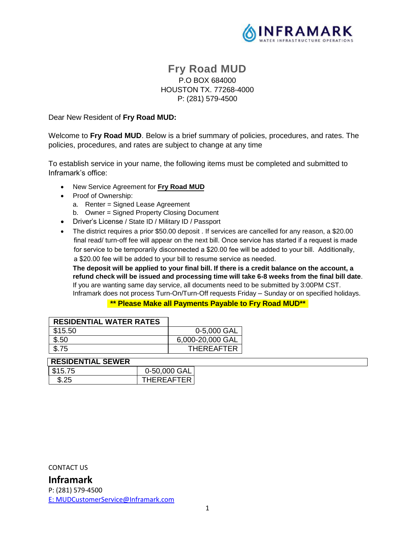

# **Fry Road MUD** P.O BOX 684000 HOUSTON TX. 77268-4000 P: (281) 579-4500

Dear New Resident of **Fry Road MUD:**

Welcome to **Fry Road MUD**. Below is a brief summary of policies, procedures, and rates. The policies, procedures, and rates are subject to change at any time

To establish service in your name, the following items must be completed and submitted to Inframark's office:

- New Service Agreement for **Fry Road MUD**
- Proof of Ownership:
	- a. Renter = Signed Lease Agreement
- b. Owner = Signed Property Closing Document
- Driver's License / State ID / Military ID / Passport
- The district requires a prior \$50.00 deposit . If services are cancelled for any reason, a \$20.00 final read/ turn-off fee will appear on the next bill. Once service has started if a request is made for service to be temporarily disconnected a \$20.00 fee will be added to your bill. Additionally, a \$20.00 fee will be added to your bill to resume service as needed.

**The deposit will be applied to your final bill. If there is a credit balance on the account, a refund check will be issued and processing time will take 6-8 weeks from the final bill date**. If you are wanting same day service, all documents need to be submitted by 3:00PM CST. Inframark does not process Turn-On/Turn-Off requests Friday – Sunday or on specified holidays.

**\*\* Please Make all Payments Payable to Fry Road MUD\*\***

| <b>RESIDENTIAL WATER RATES</b> |                   |
|--------------------------------|-------------------|
| \$15.50                        | 0-5,000 GAL       |
| \$.50                          | 6,000-20,000 GAL  |
| \$.75                          | <b>THEREAFTER</b> |

| <b>RESIDENTIAL SEWER</b> |              |
|--------------------------|--------------|
| \$15.75                  | 0-50,000 GAL |

| <b>UIU.IU</b> | U-JU,UUU UNL      |
|---------------|-------------------|
|               | <b>THEREAFTER</b> |
|               |                   |

CONTACT US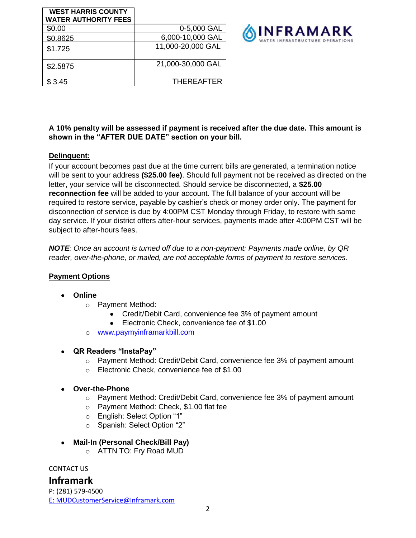| <b>WEST HARRIS COUNTY</b><br><b>WATER AUTHORITY FEES</b> |                   |
|----------------------------------------------------------|-------------------|
| \$0.00                                                   | 0-5,000 GAL       |
| \$0.8625                                                 | 6,000-10,000 GAL  |
| \$1.725                                                  | 11,000-20,000 GAL |
| \$2.5875                                                 | 21,000-30,000 GAL |
| \$3.45                                                   | <b>THEREAFTER</b> |



#### **A 10% penalty will be assessed if payment is received after the due date. This amount is shown in the "AFTER DUE DATE" section on your bill.**

## **Delinquent:**

If your account becomes past due at the time current bills are generated, a termination notice will be sent to your address **(\$25.00 fee)**. Should full payment not be received as directed on the letter, your service will be disconnected. Should service be disconnected, a **\$25.00 reconnection fee** will be added to your account. The full balance of your account will be required to restore service, payable by cashier's check or money order only. The payment for disconnection of service is due by 4:00PM CST Monday through Friday, to restore with same day service. If your district offers after-hour services, payments made after 4:00PM CST will be subject to after-hours fees.

*NOTE: Once an account is turned off due to a non-payment: Payments made online, by QR reader, over-the-phone, or mailed, are not acceptable forms of payment to restore services.*

## **Payment Options**

## • **Online**

- o Payment Method:
	- Credit/Debit Card, convenience fee 3% of payment amount
	- Electronic Check, convenience fee of \$1.00
- o [www.paymyinframarkbill.com](http://www.paymyinframarkbill.com/)
- **QR Readers "InstaPay"**
	- $\circ$  Payment Method: Credit/Debit Card, convenience fee 3% of payment amount
	- o Electronic Check, convenience fee of \$1.00
- **Over-the-Phone**
	- o Payment Method: Credit/Debit Card, convenience fee 3% of payment amount
	- o Payment Method: Check, \$1.00 flat fee
	- o English: Select Option "1"
	- o Spanish: Select Option "2"
- **Mail-In (Personal Check/Bill Pay)**
	- o ATTN TO: Fry Road MUD

CONTACT US

**Inframark**

P: (281) 579-4500 [E:](ftp://E:_MUDCustomerService@inframark.com/) MUDCustomerService@Inframark.com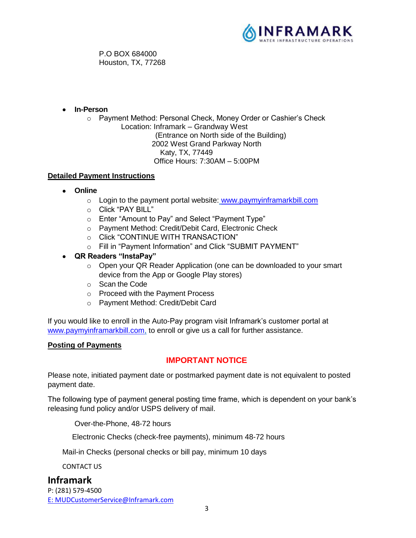

P.O BOX 684000 Houston, TX, 77268

- **In-Person**
	- o Payment Method: Personal Check, Money Order or Cashier's Check Location: Inframark – Grandway West (Entrance on North side of the Building) 2002 West Grand Parkway North Katy, TX, 77449 Office Hours: 7:30AM – 5:00PM

## **Detailed Payment Instructions**

- **Online**
	- o Login to the payment portal website: [www.paymyinframarkbill.com](http://www.paymyinframarkbill.com/)
	- o Click "PAY BILL"
	- o Enter "Amount to Pay" and Select "Payment Type"
	- o Payment Method: Credit/Debit Card, Electronic Check
	- o Click "CONTINUE WITH TRANSACTION"
	- o Fill in "Payment Information" and Click "SUBMIT PAYMENT"
- **QR Readers "InstaPay"**
	- o Open your QR Reader Application (one can be downloaded to your smart device from the App or Google Play stores)
	- o Scan the Code
	- o Proceed with the Payment Process
	- o Payment Method: Credit/Debit Card

If you would like to enroll in the Auto-Pay program visit Inframark's customer portal at [www.paymyinframarkbill.com,](http://www.paymyinframarkbill.com/) to enroll or give us a call for further assistance.

#### **Posting of Payments**

## **IMPORTANT NOTICE**

Please note, initiated payment date or postmarked payment date is not equivalent to posted payment date.

The following type of payment general posting time frame, which is dependent on your bank's releasing fund policy and/or USPS delivery of mail.

Over-the-Phone, 48-72 hours

Electronic Checks (check-free payments), minimum 48-72 hours

Mail-in Checks (personal checks or bill pay, minimum 10 days

CONTACT US

**Inframark** P: (281) 579-4500 [E:](ftp://E:_MUDCustomerService@inframark.com/) MUDCustomerService@Inframark.com